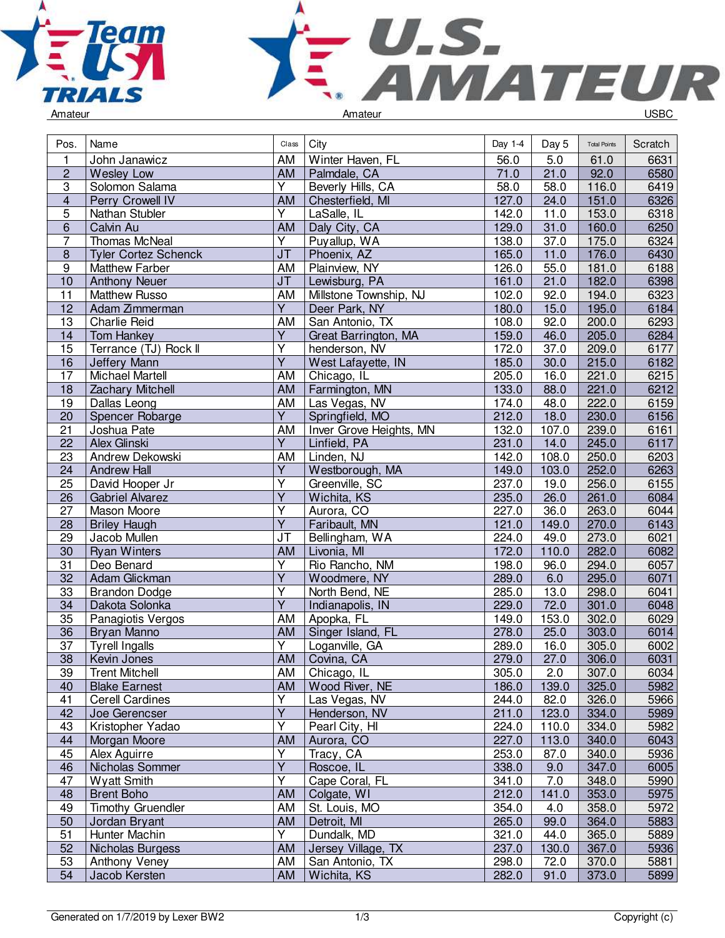



|  | Amateur |
|--|---------|
|--|---------|

| Pos.             | Name                        |                         | $Class$ $City$             | Day 1-4           | Day 5 | <b>Total Points</b> | Scratch |
|------------------|-----------------------------|-------------------------|----------------------------|-------------------|-------|---------------------|---------|
| 1                | John Janawicz               | AM                      | Winter Haven, FL           | 56.0              | 5.0   | 61.0                | 6631    |
| $\overline{2}$   | <b>Wesley Low</b>           | AM                      | Palmdale, CA               | 71.0              | 21.0  | 92.0                | 6580    |
| 3                | Solomon Salama              | Y                       | Beverly Hills, CA          | $\overline{58.0}$ | 58.0  | 116.0               | 6419    |
| $\overline{4}$   | Perry Crowell IV            | AM                      | Chesterfield, MI           | 127.0             | 24.0  | 151.0               | 6326    |
| 5                | Nathan Stubler              | Y                       | LaSalle, IL                | 142.0             | 11.0  | 153.0               | 6318    |
| 6                | Calvin Au                   | AM                      | Daly City, CA              | 129.0             | 31.0  | 160.0               | 6250    |
| $\overline{7}$   | Thomas McNeal               | Y                       | Puyallup, WA               | 138.0             | 37.0  | 175.0               | 6324    |
| $\boldsymbol{8}$ | <b>Tyler Cortez Schenck</b> | <b>JT</b>               | Phoenix, AZ                | 165.0             | 11.0  | 176.0               | 6430    |
| $\overline{9}$   | <b>Matthew Farber</b>       | AM                      | Plainview, NY              | 126.0             | 55.0  | 181.0               | 6188    |
| 10               | <b>Anthony Neuer</b>        | <b>JT</b>               | Lewisburg, PA              | 161.0             | 21.0  | 182.0               | 6398    |
| 11               | <b>Matthew Russo</b>        | AM                      | Millstone Township, NJ     | 102.0             | 92.0  | 194.0               | 6323    |
| 12               | Adam Zimmerman              | $\overline{Y}$          | Deer Park, NY              | 180.0             | 15.0  | 195.0               | 6184    |
| 13               | <b>Charlie Reid</b>         | AM                      | San Antonio, TX            | 108.0             | 92.0  | 200.0               | 6293    |
| 14               | Tom Hankey                  | Y                       | Great Barrington, MA       | 159.0             | 46.0  | 205.0               | 6284    |
| 15               | Terrance (TJ) Rock II       | $\overline{\mathsf{Y}}$ | henderson, NV              | 172.0             | 37.0  | 209.0               | 6177    |
| 16               | Jeffery Mann                | Ÿ                       | West Lafayette, IN         | 185.0             | 30.0  | 215.0               | 6182    |
| 17               | <b>Michael Martell</b>      | AM                      | Chicago, IL                | 205.0             | 16.0  | 221.0               | 6215    |
| 18               | Zachary Mitchell            | <b>AM</b>               | Farmington, MN             | 133.0             | 88.0  | 221.0               | 6212    |
| 19               | Dallas Leong                | AM                      | Las Vegas, NV              | 174.0             | 48.0  | 222.0               | 6159    |
| 20               | Spencer Robarge             | $\overline{Y}$          | Springfield, MO            | 212.0             | 18.0  | 230.0               | 6156    |
| 21               | Joshua Pate                 | AM                      |                            | 132.0             | 107.0 | 239.0               | 6161    |
|                  |                             | $\overline{Y}$          | Inver Grove Heights, MN    |                   |       |                     | 6117    |
| 22               | Alex Glinski                |                         | Linfield, PA<br>Linden, NJ | 231.0             | 14.0  | 245.0               |         |
| 23               | Andrew Dekowski             | AM<br>$\overline{Y}$    |                            | 142.0             | 108.0 | 250.0               | 6203    |
| 24               | <b>Andrew Hall</b>          |                         | Westborough, MA            | 149.0             | 103.0 | 252.0               | 6263    |
| 25               | David Hooper Jr             | $\overline{Y}$          | Greenville, SC             | 237.0             | 19.0  | 256.0               | 6155    |
| 26               | <b>Gabriel Alvarez</b>      | Υ                       | Wichita, KS                | 235.0             | 26.0  | 261.0               | 6084    |
| 27               | Mason Moore                 | Ÿ                       | Aurora, CO                 | 227.0             | 36.0  | 263.0               | 6044    |
| 28               | <b>Briley Haugh</b>         | $\overline{Y}$          | Faribault, MN              | 121.0             | 149.0 | 270.0               | 6143    |
| 29               | Jacob Mullen                | <b>JT</b>               | Bellingham, WA             | 224.0             | 49.0  | 273.0               | 6021    |
| 30               | <b>Ryan Winters</b>         | <b>AM</b>               | Livonia, MI                | 172.0             | 110.0 | 282.0               | 6082    |
| 31               | Deo Benard                  | Υ                       | Rio Rancho, NM             | 198.0             | 96.0  | 294.0               | 6057    |
| 32               | Adam Glickman               | $\overline{\mathsf{Y}}$ | Woodmere, NY               | 289.0             | 6.0   | 295.0               | 6071    |
| 33               | <b>Brandon Dodge</b>        | $\overline{\mathsf{Y}}$ | North Bend, NE             | 285.0             | 13.0  | 298.0               | 6041    |
| 34               | Dakota Solonka              | $\overline{Y}$          | Indianapolis, IN           | 229.0             | 72.0  | 301.0               | 6048    |
| 35               | Panagiotis Vergos           | <b>AM</b>               | Apopka, FL                 | 149.0             | 153.0 | 302.0               | 6029    |
| 36               | Bryan Manno                 | AM                      | Singer Island, FL          | 278.0             | 25.0  | 303.0               | 6014    |
| 37               | <b>Tyrell Ingalls</b>       | Y                       | Loganville, GA             | 289.0             | 16.0  | 305.0               | 6002    |
| $\overline{38}$  | Kevin Jones                 | <b>AM</b>               | Covina, CA                 | 279.0             | 27.0  | 306.0               | 6031    |
| 39               | <b>Trent Mitchell</b>       | AM                      | Chicago, IL                | 305.0             | 2.0   | 307.0               | 6034    |
| 40               | <b>Blake Earnest</b>        | AM                      | Wood River, NE             | 186.0             | 139.0 | 325.0               | 5982    |
| 41               | <b>Cerell Cardines</b>      | $\overline{\mathsf{Y}}$ | Las Vegas, NV              | 244.0             | 82.0  | 326.0               | 5966    |
| 42               | Joe Gerencser               | $\overline{\mathsf{Y}}$ | Henderson, NV              | 211.0             | 123.0 | 334.0               | 5989    |
| 43               | Kristopher Yadao            | $\overline{Y}$          | Pearl City, HI             | 224.0             | 110.0 | 334.0               | 5982    |
| 44               | Morgan Moore                | <b>AM</b>               | Aurora, CO                 | 227.0             | 113.0 | 340.0               | 6043    |
| 45               | Alex Aguirre                | Υ                       | Tracy, CA                  | 253.0             | 87.0  | 340.0               | 5936    |
| 46               | Nicholas Sommer             | $\overline{Y}$          | Roscoe, IL                 | 338.0             | 9.0   | 347.0               | 6005    |
| 47               | Wyatt Smith                 | Y                       | Cape Coral, FL             | 341.0             | 7.0   | 348.0               | 5990    |
| 48               | <b>Brent Boho</b>           | AM                      | Colgate, WI                | 212.0             | 141.0 | 353.0               | 5975    |
| 49               | <b>Timothy Gruendler</b>    | AM                      | St. Louis, MO              | 354.0             | 4.0   | 358.0               | 5972    |
| 50               | Jordan Bryant               | <b>AM</b>               | Detroit, MI                | 265.0             | 99.0  | 364.0               | 5883    |
| 51               | Hunter Machin               | $\overline{Y}$          | Dundalk, MD                | 321.0             | 44.0  | 365.0               | 5889    |
| 52               | Nicholas Burgess            | AM                      | Jersey Village, TX         | 237.0             | 130.0 | 367.0               | 5936    |
| 53               | Anthony Veney               | AM                      | San Antonio, TX            | 298.0             | 72.0  | 370.0               | 5881    |
| 54               | Jacob Kersten               | <b>AM</b>               | Wichita, KS                | 282.0             | 91.0  | 373.0               | 5899    |
|                  |                             |                         |                            |                   |       |                     |         |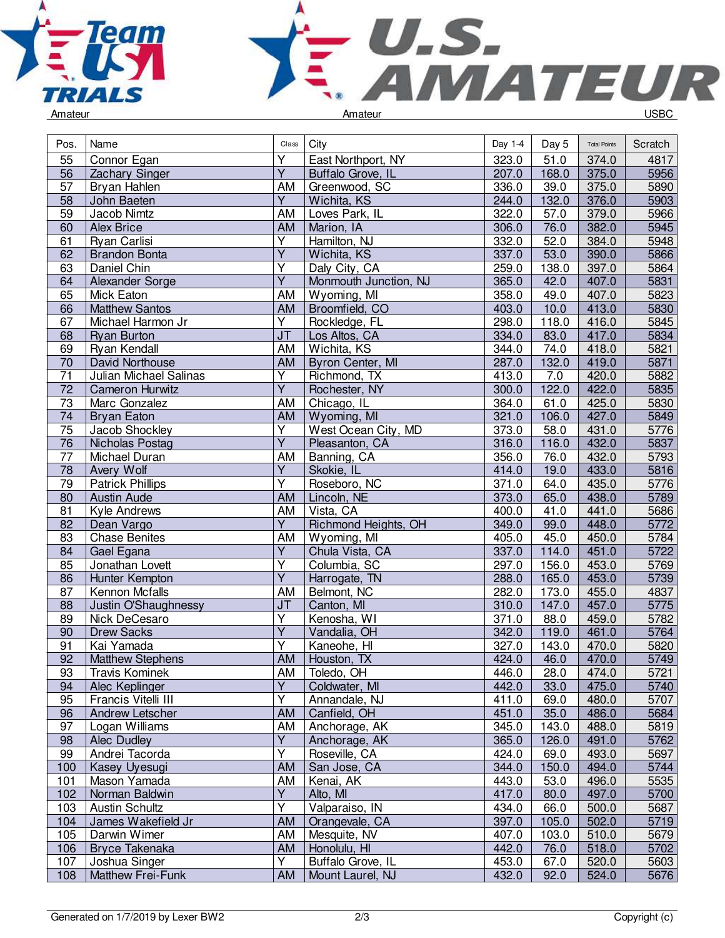



| Pos.            | Name                    | Class                   | City                  | Day 1-4 | Day 5 | <b>Total Points</b> | Scratch           |
|-----------------|-------------------------|-------------------------|-----------------------|---------|-------|---------------------|-------------------|
| 55              | Connor Egan             | Ý                       | East Northport, NY    | 323.0   | 51.0  | 374.0               | 4817              |
| 56              | Zachary Singer          | $\overline{Y}$          | Buffalo Grove, IL     | 207.0   | 168.0 | 375.0               | 5956              |
| 57              | Bryan Hahlen            | AM                      | Greenwood, SC         | 336.0   | 39.0  | 375.0               | 5890              |
| 58              | John Baeten             | $\overline{Y}$          | Wichita, KS           | 244.0   | 132.0 | 376.0               | 5903              |
| 59              | Jacob Nimtz             | AM                      | Loves Park, IL        | 322.0   | 57.0  | 379.0               | 5966              |
| 60              | <b>Alex Brice</b>       | AM                      | Marion, IA            | 306.0   | 76.0  | 382.0               | 5945              |
| 61              | Ryan Carlisi            | Y                       | Hamilton, NJ          | 332.0   | 52.0  | 384.0               | 5948              |
| 62              | <b>Brandon Bonta</b>    | $\overline{\mathsf{Y}}$ | Wichita, KS           | 337.0   | 53.0  | 390.0               | 5866              |
| 63              | Daniel Chin             | Y                       | Daly City, CA         | 259.0   | 138.0 | 397.0               | 5864              |
| 64              | Alexander Sorge         | $\overline{Y}$          | Monmouth Junction, NJ | 365.0   | 42.0  | 407.0               | 5831              |
| 65              | Mick Eaton              | AM                      | Wyoming, MI           | 358.0   | 49.0  | 407.0               | 5823              |
| 66              | <b>Matthew Santos</b>   | <b>AM</b>               | Broomfield, CO        | 403.0   | 10.0  | 413.0               | 5830              |
| 67              | Michael Harmon Jr       | Y                       | Rockledge, FL         | 298.0   | 118.0 | 416.0               | 5845              |
| 68              | <b>Ryan Burton</b>      | J <sub>T</sub>          | Los Altos, CA         | 334.0   | 83.0  | 417.0               | 5834              |
| 69              | Ryan Kendall            | AM                      | Wichita, KS           | 344.0   | 74.0  | 418.0               | 5821              |
| 70              | David Northouse         | AM                      | Byron Center, MI      | 287.0   | 132.0 | 419.0               | 5871              |
| 71              | Julian Michael Salinas  | Y                       | Richmond, TX          | 413.0   | 7.0   | 420.0               | 5882              |
| $\overline{72}$ | <b>Cameron Hurwitz</b>  | $\overline{\mathsf{Y}}$ | Rochester, NY         | 300.0   | 122.0 | 422.0               | 5835              |
| 73              | Marc Gonzalez           | AM                      | Chicago, IL           | 364.0   | 61.0  | 425.0               | 5830              |
| 74              | <b>Bryan Eaton</b>      | AM                      | Wyoming, MI           | 321.0   | 106.0 | 427.0               | 5849              |
| 75              | Jacob Shockley          | Υ                       | West Ocean City, MD   | 373.0   | 58.0  | 431.0               | 5776              |
| 76              | Nicholas Postag         | $\overline{Y}$          | Pleasanton, CA        | 316.0   | 116.0 | 432.0               | 5837              |
| $\overline{77}$ | Michael Duran           | AM                      | Banning, CA           | 356.0   | 76.0  | 432.0               | 5793              |
| $\overline{78}$ | Avery Wolf              | $\overline{Y}$          | Skokie, IL            | 414.0   | 19.0  | 433.0               | $\overline{5816}$ |
| 79              | <b>Patrick Phillips</b> | $\overline{\mathsf{Y}}$ | Roseboro, NC          | 371.0   | 64.0  | 435.0               | 5776              |
| 80              | <b>Austin Aude</b>      | AM                      | Lincoln, NE           | 373.0   | 65.0  | 438.0               | 5789              |
| 81              | Kyle Andrews            | AM                      | Vista, CA             | 400.0   | 41.0  | 441.0               | 5686              |
| 82              | Dean Vargo              | $\overline{Y}$          | Richmond Heights, OH  | 349.0   | 99.0  | 448.0               | 5772              |
| 83              | <b>Chase Benites</b>    | AM                      | Wyoming, MI           | 405.0   | 45.0  | 450.0               | 5784              |
| 84              | Gael Egana              | $\overline{Y}$          | Chula Vista, CA       | 337.0   | 114.0 | 451.0               | 5722              |
| 85              | Jonathan Lovett         | Y                       | Columbia, SC          | 297.0   | 156.0 | 453.0               | 5769              |
| 86              | Hunter Kempton          | Ÿ                       | Harrogate, TN         | 288.0   | 165.0 | 453.0               | 5739              |
| 87              | Kennon Mcfalls          | AM                      | Belmont, NC           | 282.0   | 173.0 | 455.0               | 4837              |
| 88              | Justin O'Shaughnessy    | <b>JT</b>               | Canton, MI            | 310.0   | 147.0 | 457.0               | 5775              |
| 89              | Nick DeCesaro           | $\overline{Y}$          | Kenosha, WI           | 371.0   | 88.0  | 459.0               | 5782              |
| 90              | <b>Drew Sacks</b>       | Y                       | Vandalia, OH          | 342.0   | 119.0 | 461.0               | 5764              |
| 91              | Kai Yamada              | Y                       | Kaneohe, HI           | 327.0   | 143.0 | 470.0               | 5820              |
| 92              | <b>Matthew Stephens</b> | AM                      | Houston, TX           | 424.0   | 46.0  | 470.0               | 5749              |
| 93              | <b>Iravis Kominek</b>   | $\overline{AM}$         | Toledo, OH            | 446.0   | 28.0  | 474.0               | 5721              |
| 94              | Alec Keplinger          | Y                       | Coldwater, MI         | 442.0   | 33.0  | 475.0               | 5740              |
| 95              | Francis Vitelli III     | Y                       | Annandale, NJ         | 411.0   | 69.0  | 480.0               | 5707              |
| 96              | Andrew Letscher         | <b>AM</b>               | Canfield, OH          | 451.0   | 35.0  | 486.0               | 5684              |
| 97              | Logan Williams          | AM                      | Anchorage, AK         | 345.0   | 143.0 | 488.0               | 5819              |
| 98              | Alec Dudley             | $\overline{Y}$          | Anchorage, AK         | 365.0   | 126.0 | 491.0               | 5762              |
| 99              | Andrei Tacorda          | Y                       | Roseville, CA         | 424.0   | 69.0  | 493.0               | 5697              |
| 100             | Kasey Uyesugi           | <b>AM</b>               | San Jose, CA          | 344.0   | 150.0 | 494.0               | 5744              |
| 101             | Mason Yamada            | AM                      | Kenai, AK             | 443.0   | 53.0  | 496.0               | 5535              |
| 102             | Norman Baldwin          | Ÿ                       | Alto, MI              | 417.0   | 80.0  | 497.0               | 5700              |
| 103             | <b>Austin Schultz</b>   | $\overline{\mathsf{Y}}$ | Valparaiso, IN        | 434.0   | 66.0  | 500.0               | 5687              |
| 104             | James Wakefield Jr      | AM                      | Orangevale, CA        | 397.0   | 105.0 | 502.0               | 5719              |
| 105             | Darwin Wimer            | AM                      | Mesquite, NV          | 407.0   | 103.0 | 510.0               | 5679              |
| 106             | <b>Bryce Takenaka</b>   | <b>AM</b>               | Honolulu, HI          | 442.0   | 76.0  | 518.0               | 5702              |
| 107             | Joshua Singer           | Y                       | Buffalo Grove, IL     | 453.0   | 67.0  | 520.0               | 5603              |
| 108             | Matthew Frei-Funk       | <b>AM</b>               | Mount Laurel, NJ      | 432.0   | 92.0  | 524.0               | 5676              |
|                 |                         |                         |                       |         |       |                     |                   |